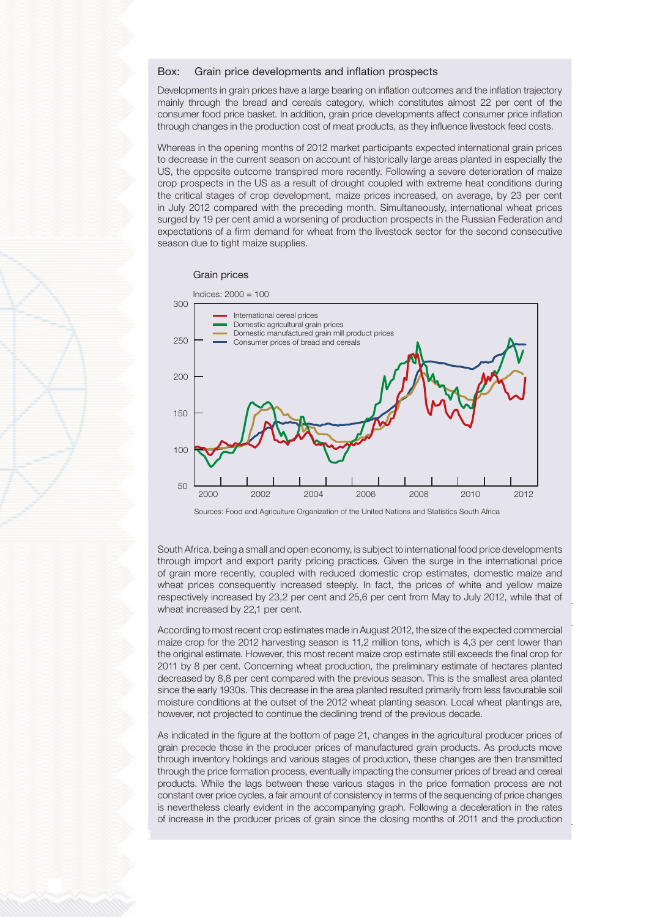$\overline{\phantom{a}}$   $\overline{\phantom{a}}$   $\overline{\phantom{a}}$   $\overline{\phantom{a}}$   $\overline{\phantom{a}}$   $\overline{\phantom{a}}$   $\overline{\phantom{a}}$   $\overline{\phantom{a}}$   $\overline{\phantom{a}}$   $\overline{\phantom{a}}$   $\overline{\phantom{a}}$   $\overline{\phantom{a}}$   $\overline{\phantom{a}}$   $\overline{\phantom{a}}$   $\overline{\phantom{a}}$   $\overline{\phantom{a}}$   $\overline{\phantom{a}}$   $\overline{\phantom{a}}$   $\overline{\$ Box: Grain price developments and inflation prospects in the economy remained in the economy remained in the economy remained in the economy remained in the economy remained in the economy remained in the economy remained

Developments in grain prices have a large bearing on inflation outcomes and the inflation trajectory mainly through the bread and cereals category, which constitutes almost 22 per cent of the consumer food price basket. In addition, grain price developments affect consumer price inflation through changes in the production cost of meat products, as they influence livestock feed costs.

Whereas in the opening months of 2012 market participants expected international grain prices Underlying measures of consumer price inflation crop prospects in the US as a result of drought coupled with extreme heat conditions during the critical stages of crop development, maize prices increased, on average, by 23 per cent season due to tight maize supplies. in July 2012 compared with the preceding month. Simultaneously, international wheat prices to decrease in the current season on account of historically large areas planted in especially the US, the opposite outcome transpired more recently. Following a severe deterioration of maize surged by 19 per cent amid a worsening of production prospects in the Russian Federation and expectations of a firm demand for wheat from the livestock sector for the second consecutive





Sources: Food and Agriculture Organization of the United Nations and Statistics South Africa<br>
Sources: Food and Agriculture Organization of the United Nations and Statistics South Africa

QB3-2012BC03 South Africa, being a small and open economy, is subject to international food price developments of grain more recently, coupled with reduced domestic crop estimates, domestic maize and respectively increased by 23,2 per cent and 25,6 per cent from May to July 2012, while that of wheat increased by 22,1 per cent. The contract of the contract of the contract of the contract of the contract of the contract of the contract of the contract of the contract of the contract of the contract of the contract through import and export parity pricing practices. Given the surge in the international price wheat prices consequently increased steeply. In fact, the prices of white and yellow maize

According to most recent crop estimates made in August 2012, the size of the expected commercial the original estimate. However, this most recent maize crop estimate still exceeds the final crop for 2011 by 8 per cent. Concerning wheat production, the preliminary estimate of hectares planted decreased by 8,8 per cent compared with the previous season. This is the smallest area planted since the early 1930s. This decrease in the area planted resulted primarily from less favourable soil however, not projected to continue the declining trend of the previous decade. maize crop for the 2012 harvesting season is 11,2 million tons, which is 4,3 per cent lower than moisture conditions at the outset of the 2012 wheat planting season. Local wheat plantings are,

As indicated in the figure at the bottom of page 21, changes in the agricultural producer prices of through inventory holdings and various stages of production, these changes are then transmitted through the price formation process, eventually impacting the consumer prices of bread and cereal products. While the lags between these various stages in the price formation process are not constant over price cycles, a fair amount of consistency in terms of the sequencing of price changes of increase in the producer prices of grain since the closing months of 2011 and the production<br>of increase in the producer prices of grain since the closing months of 2011 and the production grain precede those in the producer prices of manufactured grain products. As products move is nevertheless clearly evident in the accompanying graph. Following a deceleration in the rates